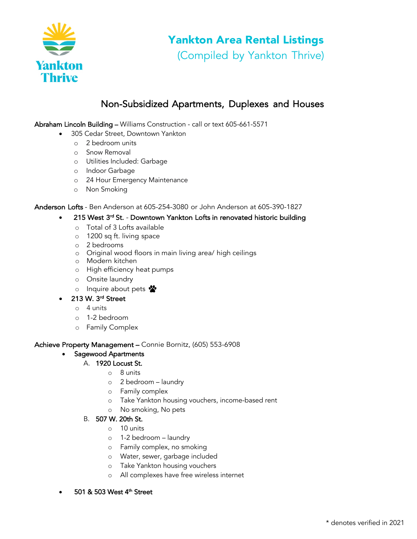

# Yankton Area Rental Listings

(Compiled by Yankton Thrive)

# Non-Subsidized Apartments, Duplexes and Houses

Abraham Lincoln Building – Williams Construction - call or text 605-661-5571

- 305 Cedar Street, Downtown Yankton
	- o 2 bedroom units
	- o Snow Removal
	- o Utilities Included: Garbage
	- o Indoor Garbage
	- o 24 Hour Emergency Maintenance
	- o Non Smoking

Anderson Lofts - Ben Anderson at 605-254-3080 or John Anderson at 605-390-1827

- 215 West 3<sup>rd</sup> St. Downtown Yankton Lofts in renovated historic building
	- o Total of 3 Lofts available
	- o 1200 sq ft. living space
	- o 2 bedrooms
	- o Original wood floors in main living area/ high ceilings
	- o Modern kitchen
	- o High efficiency heat pumps
	- o Onsite laundry
	- o Inquire about pets  $\ddot{\bullet}$
- 213 W. 3rd Street
	- o 4 units
	- o 1-2 bedroom
	- o Family Complex

Achieve Property Management – Connie Bornitz, (605) 553-6908

## • Sagewood Apartments

# A. 1920 Locust St.

- o 8 units
	- o 2 bedroom laundry
	- o Family complex
	- o Take Yankton housing vouchers, income-based rent
	- o No smoking, No pets
- B. 507 W. 20th St.
	- $\circ$  10 units
	- o 1-2 bedroom laundry
	- o Family complex, no smoking
	- o Water, sewer, garbage included
	- o Take Yankton housing vouchers
	- o All complexes have free wireless internet
- 501 & 503 West 4<sup>th</sup> Street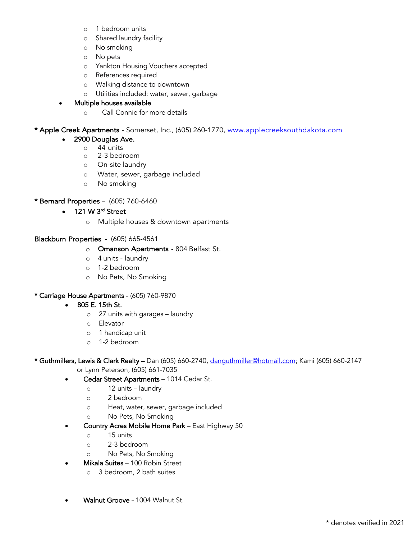- o 1 bedroom units
- o Shared laundry facility
- o No smoking
- o No pets
- o Yankton Housing Vouchers accepted
- o References required
- o Walking distance to downtown
- o Utilities included: water, sewer, garbage
- Multiple houses available
	- o Call Connie for more details

\* Apple Creek Apartments - Somerset, Inc., (605) 260-1770, www.applecreeksouthdakota.com

#### • 2900 Douglas Ave.

- $\circ$  44 units
- o 2-3 bedroom
- o On-site laundry
- o Water, sewer, garbage included
- o No smoking

#### \* Bernard Properties – (605) 760-6460

- 121 W 3<sup>rd</sup> Street
	- o Multiple houses & downtown apartments

#### Blackburn Properties - (605) 665-4561

- o Omanson Apartments 804 Belfast St.
- o 4 units laundry
- o 1-2 bedroom
- o No Pets, No Smoking

#### \* Carriage House Apartments - (605) 760-9870

- 805 E. 15th St.
	- o 27 units with garages laundry
	- o Elevator
	- o 1 handicap unit
	- o 1-2 bedroom
- \* Guthmillers, Lewis & Clark Realty Dan (605) 660-2740, danguthmiller@hotmail.com; Kami (605) 660-2147 or Lynn Peterson, (605) 661-7035
	- Cedar Street Apartments 1014 Cedar St.
		- o 12 units laundry
		- o 2 bedroom
		- o Heat, water, sewer, garbage included
		- o No Pets, No Smoking
	- Country Acres Mobile Home Park East Highway 50
		- o 15 units
		- o 2-3 bedroom
		- o No Pets, No Smoking
	- Mikala Suites 100 Robin Street
		- o 3 bedroom, 2 bath suites
	- Walnut Groove 1004 Walnut St.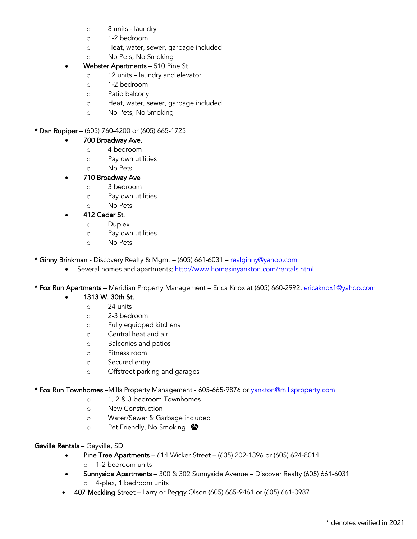- o 8 units laundry
- o 1-2 bedroom
- o Heat, water, sewer, garbage included
- o No Pets, No Smoking
- Webster Apartments 510 Pine St.
	- o 12 units laundry and elevator
	- o 1-2 bedroom
	- o Patio balcony
	- o Heat, water, sewer, garbage included
	- o No Pets, No Smoking

#### \* Dan Rupiper – (605) 760-4200 or (605) 665-1725

#### • 700 Broadway Ave.

- o 4 bedroom
- o Pay own utilities
- o No Pets
- 710 Broadway Ave
	- o 3 bedroom
	- o Pay own utilities
	- o No Pets

## • 412 Cedar St.

- o Duplex
- o Pay own utilities
- o No Pets

\* Ginny Brinkman - Discovery Realty & Mgmt - (605) 661-6031 - realginny@yahoo.com

Several homes and apartments; http://www.homesinyankton.com/rentals.html

\* Fox Run Apartments – Meridian Property Management – Erica Knox at (605) 660-2992, ericaknox1@yahoo.com

- 1313 W. 30th St.
	- $\circ$  24 units
	- o 2-3 bedroom
	- o Fully equipped kitchens
	- o Central heat and air
	- o Balconies and patios
	- o Fitness room
	- o Secured entry
	- o Offstreet parking and garages

\* Fox Run Townhomes –Mills Property Management - 605-665-9876 or yankton@millsproperty.com

- o 1, 2 & 3 bedroom Townhomes
- o New Construction
- o Water/Sewer & Garbage included
- o Pet Friendly, No Smoking

#### Gaville Rentals – Gayville, SD

- Pine Tree Apartments 614 Wicker Street (605) 202-1396 or (605) 624-8014
	- o 1-2 bedroom units
- Sunnyside Apartments 300 & 302 Sunnyside Avenue Discover Realty (605) 661-6031 o 4-plex, 1 bedroom units
- 407 Meckling Street Larry or Peggy Olson (605) 665-9461 or (605) 661-0987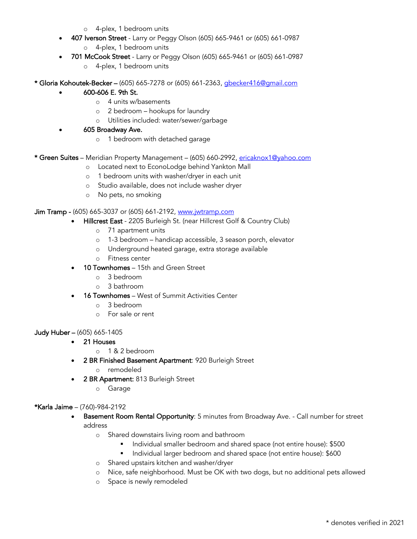- o 4-plex, 1 bedroom units
- 407 Iverson Street Larry or Peggy Olson (605) 665-9461 or (605) 661-0987 o 4-plex, 1 bedroom units
	-
- 701 McCook Street Larry or Peggy Olson (605) 665-9461 or (605) 661-0987
	- o 4-plex, 1 bedroom units
- \* Gloria Kohoutek-Becker (605) 665-7278 or (605) 661-2363, gbecker416@gmail.com
	- 600-606 E. 9th St.
		- o 4 units w/basements
		- o 2 bedroom hookups for laundry
		- o Utilities included: water/sewer/garbage
	- 605 Broadway Ave.
		- o 1 bedroom with detached garage
- \* Green Suites Meridian Property Management (605) 660-2992, ericaknox1@yahoo.com
	- o Located next to EconoLodge behind Yankton Mall
	- o 1 bedroom units with washer/dryer in each unit
	- o Studio available, does not include washer dryer
	- o No pets, no smoking

Jim Tramp - (605) 665-3037 or (605) 661-2192, www.jwtramp.com

- Hillcrest East 2205 Burleigh St. (near Hillcrest Golf & Country Club)
	- o 71 apartment units
	- o 1-3 bedroom handicap accessible, 3 season porch, elevator
	- o Underground heated garage, extra storage available
	- o Fitness center
- 10 Townhomes 15th and Green Street
	- o 3 bedroom
	- o 3 bathroom
- 16 Townhomes West of Summit Activities Center
	- o 3 bedroom
	- o For sale or rent

#### Judy Huber – (605) 665-1405

- 21 Houses
	- o 1 & 2 bedroom
- 2 BR Finished Basement Apartment: 920 Burleigh Street
	- o remodeled
	- 2 BR Apartment: 813 Burleigh Street
		- o Garage

#### \*Karla Jaime – (760)-984-2192

- Basement Room Rental Opportunity: 5 minutes from Broadway Ave. Call number for street address
	- o Shared downstairs living room and bathroom
		- Individual smaller bedroom and shared space (not entire house): \$500
		- **•** Individual larger bedroom and shared space (not entire house): \$600
	- o Shared upstairs kitchen and washer/dryer
	- o Nice, safe neighborhood. Must be OK with two dogs, but no additional pets allowed
	- o Space is newly remodeled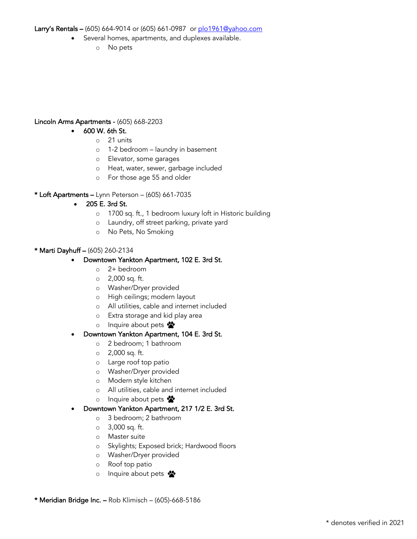Larry's Rentals – (605) 664-9014 or (605) 661-0987 or plo1961@yahoo.com

- Several homes, apartments, and duplexes available.
	- o No pets

#### Lincoln Arms Apartments - (605) 668-2203

- 600 W. 6th St.
	- o 21 units
	- o 1-2 bedroom laundry in basement
	- o Elevator, some garages
	- o Heat, water, sewer, garbage included
	- o For those age 55 and older

#### \* Loft Apartments – Lynn Peterson – (605) 661-7035

- 205 E. 3rd St.
	- o 1700 sq. ft., 1 bedroom luxury loft in Historic building
	- o Laundry, off street parking, private yard
	- o No Pets, No Smoking

#### \* Marti Dayhuff – (605) 260-2134

- Downtown Yankton Apartment, 102 E. 3rd St.
	- o 2+ bedroom
	- o 2,000 sq. ft.
	- o Washer/Dryer provided
	- o High ceilings; modern layout
	- o All utilities, cable and internet included
	- o Extra storage and kid play area
	- o Inquire about pets  $\ddot{\bullet}$

#### • Downtown Yankton Apartment, 104 E. 3rd St.

- o 2 bedroom; 1 bathroom
- o 2,000 sq. ft.
- o Large roof top patio
- o Washer/Dryer provided
- o Modern style kitchen
- o All utilities, cable and internet included
- o Inquire about pets  $\mathbf{\mathcal{D}}$

#### • Downtown Yankton Apartment, 217 1/2 E. 3rd St.

- o 3 bedroom; 2 bathroom
- o 3,000 sq. ft.
- o Master suite
- o Skylights; Exposed brick; Hardwood floors
- o Washer/Dryer provided
- o Roof top patio
- o Inquire about pets

\* Meridian Bridge Inc. – Rob Klimisch – (605)-668-5186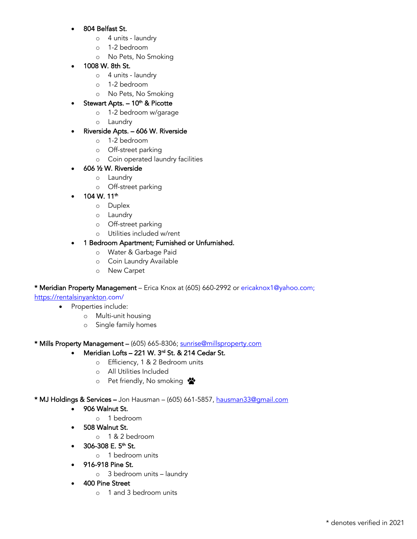#### • 804 Belfast St.

- o 4 units laundry
- o 1-2 bedroom
- o No Pets, No Smoking

## • 1008 W. 8th St.

- o 4 units laundry
- o 1-2 bedroom
- o No Pets, No Smoking

# Stewart Apts.  $-10<sup>th</sup>$  & Picotte

- o 1-2 bedroom w/garage
- o Laundry

## • Riverside Apts. – 606 W. Riverside

- o 1-2 bedroom
- o Off-street parking
- o Coin operated laundry facilities

## • 606 ½ W. Riverside

- o Laundry o Off-street parking
- $104 \text{ W}$ . 11<sup>th</sup>
	- o Duplex
	- o Laundry
	- o Off-street parking
	- o Utilities included w/rent

## • 1 Bedroom Apartment; Furnished or Unfurnished.

- o Water & Garbage Paid
- o Coin Laundry Available
- o New Carpet

#### \* Meridian Property Management – Erica Knox at (605) 660-2992 or ericaknox1@yahoo.com;

https://rentalsinyankton.com/

- Properties include:
	- o Multi-unit housing
	- o Single family homes

\* Mills Property Management – (605) 665-8306; sunrise@millsproperty.com

# Meridian Lofts - 221 W. 3<sup>rd</sup> St. & 214 Cedar St.

- o Efficiency, 1 & 2 Bedroom units
- o All Utilities Included
- o Pet friendly, No smoking

#### \* MJ Holdings & Services - Jon Hausman - (605) 661-5857, hausman33@gmail.com

- 906 Walnut St.
	- o 1 bedroom
- 508 Walnut St.
	- o 1 & 2 bedroom
	- 306-308 E.  $5<sup>th</sup>$  St.
		- o 1 bedroom units
- 916-918 Pine St.
	- o 3 bedroom units laundry
- 400 Pine Street
	- o 1 and 3 bedroom units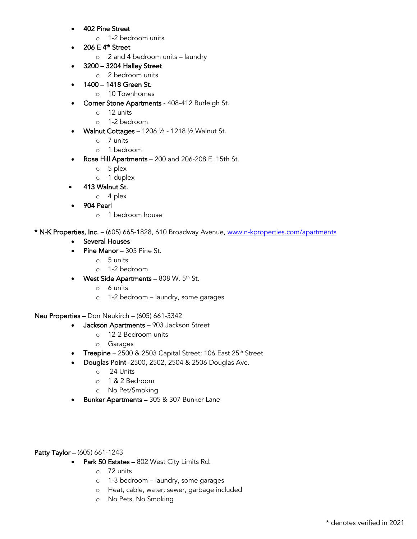- 402 Pine Street
	- o 1-2 bedroom units
- 206 E  $4<sup>th</sup>$  Street
	- o 2 and 4 bedroom units laundry
	- 3200 3204 Halley Street
		- o 2 bedroom units
	- 1400 1418 Green St.
		- o 10 Townhomes
- Corner Stone Apartments 408-412 Burleigh St.
	- o 12 units
	- o 1-2 bedroom
- Walnut Cottages 1206 ½ 1218 ½ Walnut St.
	- o 7 units
	- o 1 bedroom
- Rose Hill Apartments 200 and 206-208 E. 15th St.
	- o 5 plex
	- o 1 duplex
- 413 Walnut St.
	- o 4 plex
- 904 Pearl
	- o 1 bedroom house

\* N-K Properties, Inc. - (605) 665-1828, 610 Broadway Avenue, www.n-kproperties.com/apartments

- Several Houses
- Pine Manor 305 Pine St.
	- o 5 units
	- o 1-2 bedroom
- West Side Apartments  $808$  W.  $5<sup>th</sup>$  St.
	- o 6 units
	- o 1-2 bedroom laundry, some garages

Neu Properties – Don Neukirch – (605) 661-3342

- Jackson Apartments 903 Jackson Street
	- o 12-2 Bedroom units
	- o Garages
- Treepine  $2500 \& 2503$  Capital Street; 106 East  $25<sup>th</sup>$  Street
- Douglas Point -2500, 2502, 2504 & 2506 Douglas Ave.
	- o 24 Units
	- o 1 & 2 Bedroom
	- o No Pet/Smoking
- Bunker Apartments 305 & 307 Bunker Lane

#### Patty Taylor – (605) 661-1243

- Park 50 Estates 802 West City Limits Rd.
	- o 72 units
	- o 1-3 bedroom laundry, some garages
	- o Heat, cable, water, sewer, garbage included
	- o No Pets, No Smoking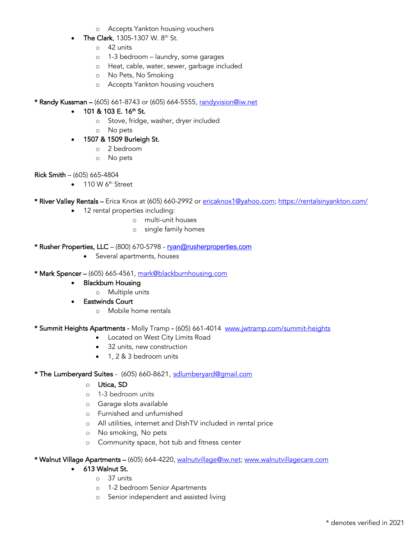- o Accepts Yankton housing vouchers
- The Clark, 1305-1307 W. 8<sup>th</sup> St.
	- $\circ$  42 units
	- o 1-3 bedroom laundry, some garages
	- o Heat, cable, water, sewer, garbage included
	- o No Pets, No Smoking
	- o Accepts Yankton housing vouchers
- \* Randy Kussman (605) 661-8743 or (605) 664-5555, randyvision@iw.net

#### • 101 & 103 E. 16<sup>th</sup> St.

- o Stove, fridge, washer, dryer included
- o No pets
- 1507 & 1509 Burleigh St.
	- o 2 bedroom
	- o No pets

#### Rick Smith – (605) 665-4804

 $\bullet$  110 W 6<sup>th</sup> Street

\* River Valley Rentals – Erica Knox at (605) 660-2992 or ericaknox1@yahoo.com; https://rentalsinyankton.com/

- 12 rental properties including:
	- o multi-unit houses
	- o single family homes
- \* Rusher Properties, LLC (800) 670-5798 ryan@rusherproperties.com
	- Several apartments, houses
- \* Mark Spencer (605) 665-4561, mark@blackburnhousing.com
	- Blackburn Housing
		- o Multiple units
	- Eastwinds Court
		- o Mobile home rentals

\* Summit Heights Apartments - Molly Tramp - (605) 661-4014 www.jwtramp.com/summit-heights

- Located on West City Limits Road
- 32 units, new construction
- 1, 2 & 3 bedroom units

#### \* The Lumberyard Suites - (605) 660-8621, sdlumberyard@gmail.com

- o Utica, SD
- o 1-3 bedroom units
- o Garage slots available
- o Furnished and unfurnished
- o All utilities, internet and DishTV included in rental price
- o No smoking, No pets
- o Community space, hot tub and fitness center

\* Walnut Village Apartments – (605) 664-4220, walnutvillage@iw.net; www.walnutvillagecare.com

#### • 613 Walnut St.

- o 37 units
- o 1-2 bedroom Senior Apartments
- o Senior independent and assisted living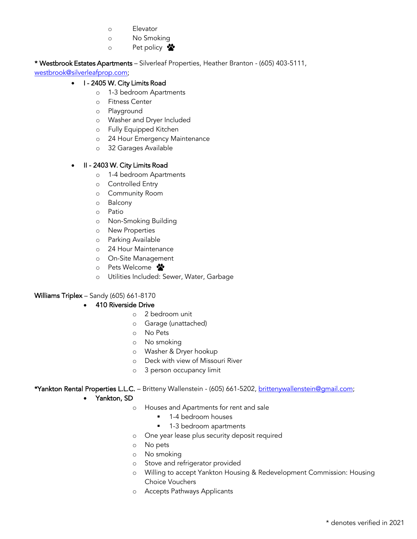- o Elevator
- o No Smoking
- o Pet policy  $\mathbf{\mathring{a}}$

\* Westbrook Estates Apartments – Silverleaf Properties, Heather Branton - (605) 403-5111,

westbrook@silverleafprop.com;

## • I - 2405 W. City Limits Road

- o 1-3 bedroom Apartments
- o Fitness Center
- o Playground
- o Washer and Dryer Included
- o Fully Equipped Kitchen
- o 24 Hour Emergency Maintenance
- o 32 Garages Available

#### • II - 2403 W. City Limits Road

- o 1-4 bedroom Apartments
- o Controlled Entry
- o Community Room
- o Balcony
- o Patio
- o Non-Smoking Building
- o New Properties
- o Parking Available
- o 24 Hour Maintenance
- o On-Site Management
- o Pets Welcome
- o Utilities Included: Sewer, Water, Garbage

#### Williams Triplex – Sandy (605) 661-8170

#### • 410 Riverside Drive

- o 2 bedroom unit
- o Garage (unattached)
- o No Pets
- o No smoking
- o Washer & Dryer hookup
- o Deck with view of Missouri River
- o 3 person occupancy limit

\*Yankton Rental Properties L.L.C. - Britteny Wallenstein - (605) 661-5202, brittenywallenstein@gmail.com;

- Yankton, SD
	- o Houses and Apartments for rent and sale
		- 1-4 bedroom houses
		- 1-3 bedroom apartments
	- o One year lease plus security deposit required
	- o No pets
	- o No smoking
	- o Stove and refrigerator provided
	- o Willing to accept Yankton Housing & Redevelopment Commission: Housing Choice Vouchers
	- o Accepts Pathways Applicants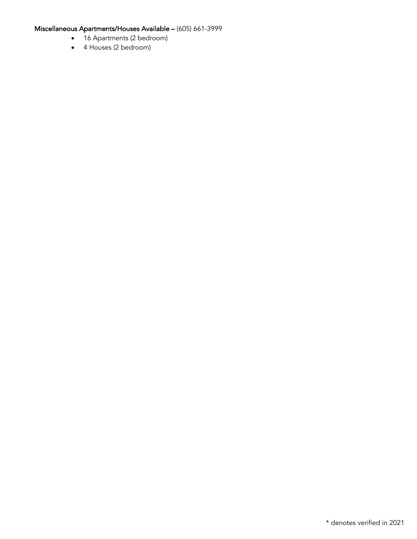# Miscellaneous Apartments/Houses Available – (605) 661-3999

- 16 Apartments (2 bedroom)
- 4 Houses (2 bedroom)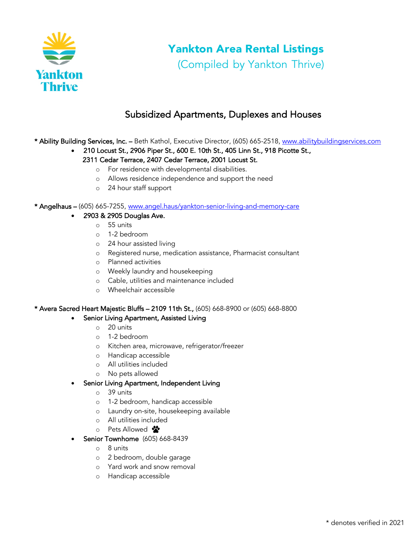

# Yankton Area Rental Listings

(Compiled by Yankton Thrive)

# Subsidized Apartments, Duplexes and Houses

\* Ability Building Services, Inc. – Beth Kathol, Executive Director, (605) 665-2518, www.abilitybuildingservices.com

- 210 Locust St., 2906 Piper St., 600 E. 10th St., 405 Linn St., 918 Picotte St., 2311 Cedar Terrace, 2407 Cedar Terrace, 2001 Locust St.
	- o For residence with developmental disabilities.
	- o Allows residence independence and support the need
	- o 24 hour staff support

\* Angelhaus – (605) 665-7255, www.angel.haus/yankton-senior-living-and-memory-care

- 2903 & 2905 Douglas Ave.
	- o 55 units
	- o 1-2 bedroom
	- o 24 hour assisted living
	- o Registered nurse, medication assistance, Pharmacist consultant
	- o Planned activities
	- o Weekly laundry and housekeeping
	- o Cable, utilities and maintenance included
	- o Wheelchair accessible

#### \* Avera Sacred Heart Majestic Bluffs – 2109 11th St., (605) 668-8900 or (605) 668-8800

#### Senior Living Apartment, Assisted Living

- o 20 units
- o 1-2 bedroom
- o Kitchen area, microwave, refrigerator/freezer
- o Handicap accessible
- o All utilities included
- o No pets allowed
- Senior Living Apartment, Independent Living
	- o 39 units
	- o 1-2 bedroom, handicap accessible
	- o Laundry on-site, housekeeping available
	- o All utilities included
	- o Pets Allowed  $\cdot$
- **Senior Townhome** (605) 668-8439
	- o 8 units
	- o 2 bedroom, double garage
	- o Yard work and snow removal
	- o Handicap accessible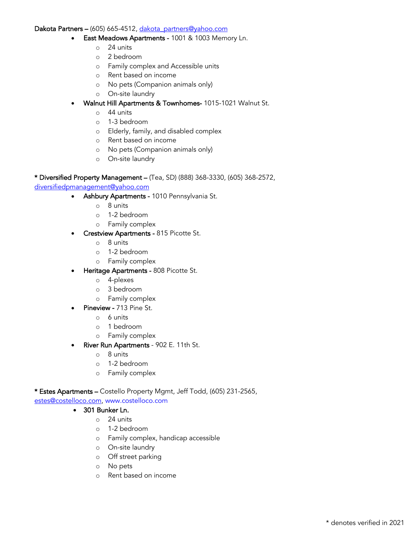#### Dakota Partners – (605) 665-4512, dakota\_partners@yahoo.com

- East Meadows Apartments 1001 & 1003 Memory Ln.
	- $\circ$  24 units
	- o 2 bedroom
	- o Family complex and Accessible units
	- o Rent based on income
	- o No pets (Companion animals only)
	- o On-site laundry
- Walnut Hill Apartments & Townhomes- 1015-1021 Walnut St.
	- o 44 units
	- o 1-3 bedroom
	- o Elderly, family, and disabled complex
	- o Rent based on income
	- o No pets (Companion animals only)
	- o On-site laundry

#### \* Diversified Property Management – (Tea, SD) (888) 368-3330, (605) 368-2572,

#### diversifiedpmanagement@yahoo.com

- Ashbury Apartments 1010 Pennsylvania St.
	- o 8 units
	- o 1-2 bedroom
	- o Family complex
- **Crestview Apartments 815 Picotte St.** 
	- o 8 units
	- o 1-2 bedroom
	- o Family complex
- Heritage Apartments 808 Picotte St.
	- o 4-plexes
	- o 3 bedroom
	- o Family complex
- Pineview 713 Pine St.
	- o 6 units
	- o 1 bedroom
	- o Family complex
- River Run Apartments 902 E. 11th St.
	- o 8 units
	- o 1-2 bedroom
	- o Family complex

#### \* Estes Apartments – Costello Property Mgmt, Jeff Todd, (605) 231-2565,

estes@costelloco.com, www.costelloco.com

#### • 301 Bunker Ln.

- o 24 units
- o 1-2 bedroom
- o Family complex, handicap accessible
- o On-site laundry
- o Off street parking
- o No pets
- o Rent based on income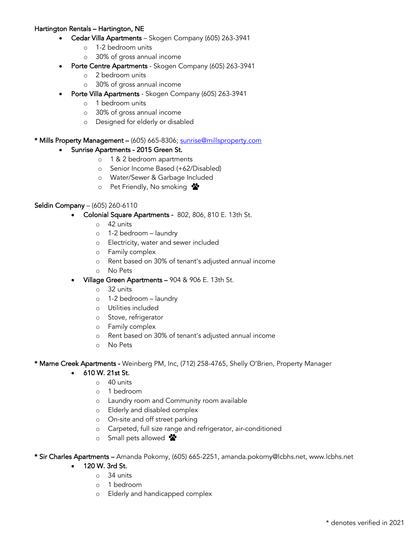#### Hartington Rentals – Hartington, NE

- Cedar Villa Apartments Skogen Company (605) 263-3941
	- o 1-2 bedroom units
	- o 30% of gross annual income
- Porte Centre Apartments Skogen Company (605) 263-3941
	- o 2 bedroom units
	- o 30% of gross annual income
- Porte Villa Apartments Skogen Company (605) 263-3941
	- o 1 bedroom units
	- o 30% of gross annual income
	- o Designed for elderly or disabled

#### \* Mills Property Management - (605) 665-8306; sunrise@millsproperty.com

- Sunrise Apartments 2015 Green St.
	- o 1 & 2 bedroom apartments
	- o Senior Income Based (+62/Disabled)
	- o Water/Sewer & Garbage Included
	- o Pet Friendly, No smoking

#### Seldin Company – (605) 260-6110

- Colonial Square Apartments 802, 806, 810 E. 13th St.
	- o 42 units
	- o 1-2 bedroom laundry
	- o Electricity, water and sewer included
	- o Family complex
	- o Rent based on 30% of tenant's adjusted annual income
	- o No Pets
- Village Green Apartments 904 & 906 E. 13th St.
	- o 32 units
	- o 1-2 bedroom laundry
	- o Utilities included
	- o Stove, refrigerator
	- o Family complex
	- o Rent based on 30% of tenant's adjusted annual income
	- o No Pets

\* Marne Creek Apartments - Weinberg PM, Inc, (712) 258-4765, Shelly O'Brien, Property Manager

- 610 W. 21st St.
	- o 40 units
	- o 1 bedroom
	- o Laundry room and Community room available
	- o Elderly and disabled complex
	- o On-site and off street parking
	- o Carpeted, full size range and refrigerator, air-conditioned
	- o Small pets allowed  $\mathbf{\mathring{\&}}$

\* Sir Charles Apartments – Amanda Pokorny, (605) 665-2251, amanda.pokorny@lcbhs.net, www.lcbhs.net

- 120 W. 3rd St.
	- o 34 units
	- o 1 bedroom
	- o Elderly and handicapped complex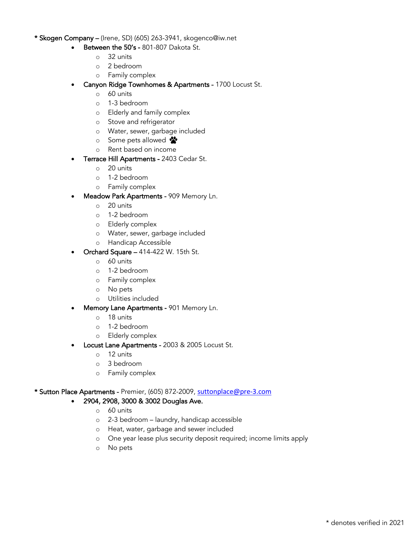#### \* Skogen Company – (Irene, SD) (605) 263-3941, skogenco@iw.net

- Between the 50's 801-807 Dakota St.
	- o 32 units
	- o 2 bedroom
	- o Family complex
- Canyon Ridge Townhomes & Apartments 1700 Locust St.
	- o 60 units
	- o 1-3 bedroom
	- o Elderly and family complex
	- o Stove and refrigerator
	- o Water, sewer, garbage included
	- o Some pets allowed
	- o Rent based on income
- Terrace Hill Apartments 2403 Cedar St.
	- o 20 units
	- o 1-2 bedroom
	- o Family complex
- Meadow Park Apartments 909 Memory Ln.
	- o 20 units
	- o 1-2 bedroom
	- o Elderly complex
	- o Water, sewer, garbage included
	- o Handicap Accessible
- Orchard Square 414-422 W. 15th St.
	- o 60 units
	- o 1-2 bedroom
	- o Family complex
	- o No pets
	- o Utilities included
- Memory Lane Apartments 901 Memory Ln.
	- o 18 units
	- o 1-2 bedroom
	- o Elderly complex
- Locust Lane Apartments 2003 & 2005 Locust St.
	- o 12 units
	- o 3 bedroom
	- o Family complex

#### \* Sutton Place Apartments - Premier, (605) 872-2009, suttonplace@pre-3.com

#### • 2904, 2908, 3000 & 3002 Douglas Ave.

- o 60 units
- o 2-3 bedroom laundry, handicap accessible
- o Heat, water, garbage and sewer included
- o One year lease plus security deposit required; income limits apply
- o No pets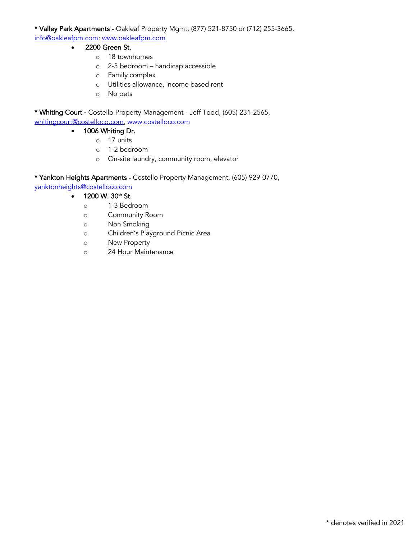\* Valley Park Apartments - Oakleaf Property Mgmt, (877) 521-8750 or (712) 255-3665, info@oakleafpm.com; www.oakleafpm.com

- 2200 Green St.
	- o 18 townhomes
	- o 2-3 bedroom handicap accessible
	- o Family complex
	- o Utilities allowance, income based rent
	- o No pets

\* Whiting Court - Costello Property Management - Jeff Todd, (605) 231-2565, whitingcourt@costelloco.com, www.costelloco.com

- 1006 Whiting Dr.
	- o 17 units
	- o 1-2 bedroom
	- o On-site laundry, community room, elevator

\* Yankton Heights Apartments - Costello Property Management, (605) 929-0770,

yanktonheights@costelloco.com

- $1200 \text{ W}$ .  $30^{\text{th}}$  St.
	- o 1-3 Bedroom
	- o Community Room
	- o Non Smoking
	- o Children's Playground Picnic Area
	- o New Property
	- o 24 Hour Maintenance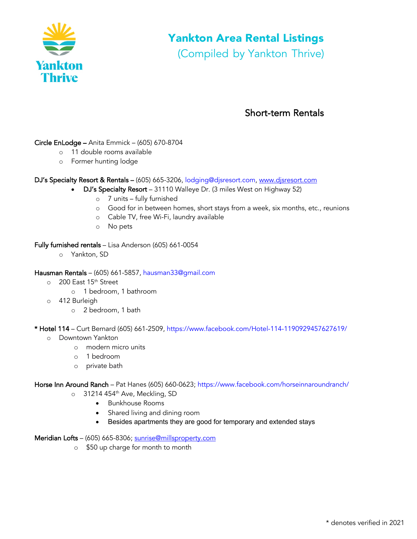

# Yankton Area Rental Listings

(Compiled by Yankton Thrive)

# Short-term Rentals

## Circle EnLodge – Anita Emmick – (605) 670-8704

- o 11 double rooms available
- o Former hunting lodge

#### DJ's Specialty Resort & Rentals – (605) 665-3206, lodging@djsresort.com, www.djsresort.com

- DJ's Specialty Resort 31110 Walleye Dr. (3 miles West on Highway 52)
	- o 7 units fully furnished
	- o Good for in between homes, short stays from a week, six months, etc., reunions
	- o Cable TV, free Wi-Fi, laundry available
	- o No pets

#### Fully furnished rentals – Lisa Anderson (605) 661-0054

o Yankton, SD

#### Hausman Rentals – (605) 661-5857, hausman33@gmail.com

- o 200 East 15<sup>th</sup> Street
	- o 1 bedroom, 1 bathroom
- o 412 Burleigh
	- o 2 bedroom, 1 bath

#### \* Hotel 114 – Curt Bernard (605) 661-2509, https://www.facebook.com/Hotel-114-1190929457627619/

- o Downtown Yankton
	- o modern micro units
	- o 1 bedroom
	- o private bath

#### Horse Inn Around Ranch – Pat Hanes (605) 660-0623; https://www.facebook.com/horseinnaroundranch/

- o 31214 454<sup>th</sup> Ave, Meckling, SD
	- Bunkhouse Rooms
	- Shared living and dining room
	- Besides apartments they are good for temporary and extended stays
- Meridian Lofts (605) 665-8306; sunrise@millsproperty.com
	- o \$50 up charge for month to month